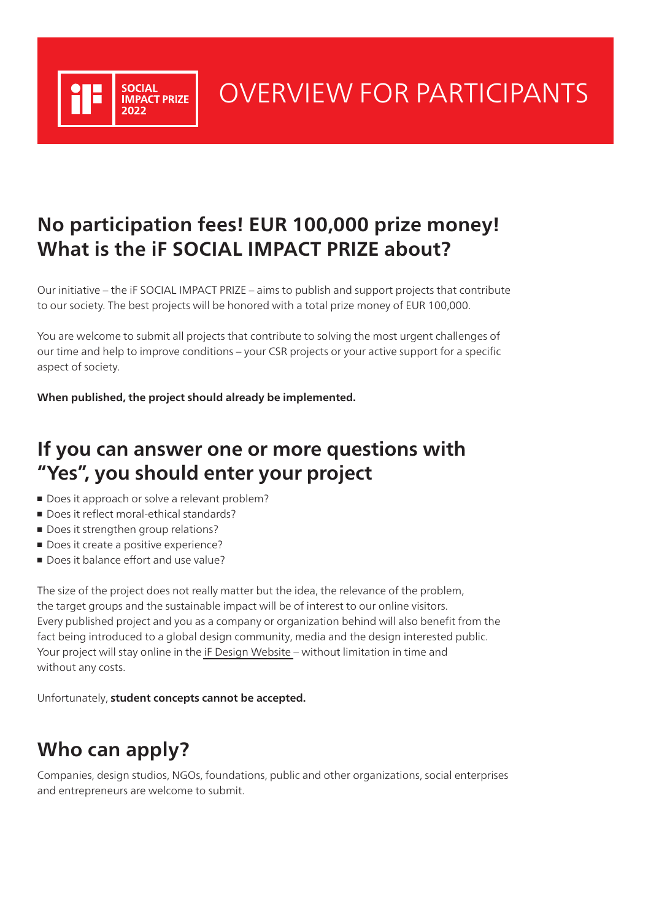

# OVERVIEW FOR PARTICIPANTS

## **No participation fees! EUR 100,000 prize money! What is the iF SOCIAL IMPACT PRIZE about?**

Our initiative – the iF SOCIAL IMPACT PRIZE – aims to publish and support projects that contribute to our society. The best projects will be honored with a total prize money of EUR 100,000.

You are welcome to submit all projects that contribute to solving the most urgent challenges of our time and help to improve conditions – your CSR projects or your active support for a specific aspect of society.

**When published, the project should already be implemented.**

## **If you can answer one or more questions with "Yes", you should enter your project**

- Does it approach or solve a relevant problem?
- Does it reflect moral-ethical standards?
- Does it strengthen group relations?
- Does it create a positive experience?
- Does it balance effort and use value?

The size of the project does not really matter but the idea, the relevance of the problem, the target groups and the sustainable impact will be of interest to our online visitors. Every published project and you as a company or organization behind will also benefit from the fact being introduced to a global design community, media and the design interested public. Your project will stay online in the [iF Design Website](https://www.ifdesign.com) – without limitation in time and without any costs.

Unfortunately, **student concepts cannot be accepted.**

## **Who can apply?**

Companies, design studios, NGOs, foundations, public and other organizations, social enterprises and entrepreneurs are welcome to submit.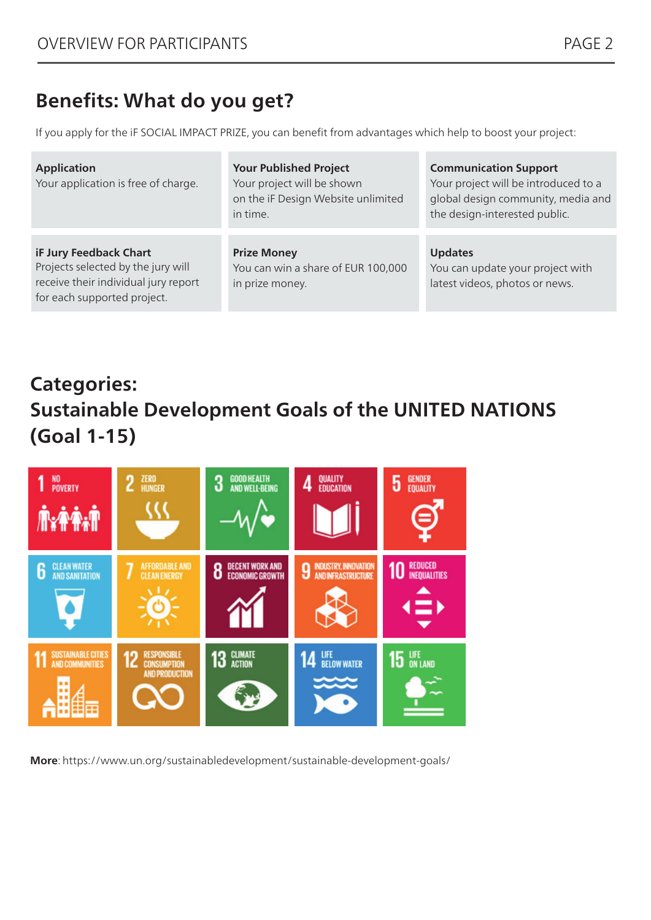### **Benefits: What do you get?**

If you apply for the iF SOCIAL IMPACT PRIZE, you can benefit from advantages which help to boost your project:

| <b>Application</b><br>Your application is free of charge.                                                                           | <b>Your Published Project</b><br>Your project will be shown<br>on the iF Design Website unlimited<br>in time. | <b>Communication Support</b><br>Your project will be introduced to a<br>global design community, media and<br>the design-interested public. |
|-------------------------------------------------------------------------------------------------------------------------------------|---------------------------------------------------------------------------------------------------------------|---------------------------------------------------------------------------------------------------------------------------------------------|
| iF Jury Feedback Chart<br>Projects selected by the jury will<br>receive their individual jury report<br>for each supported project. | <b>Prize Money</b><br>You can win a share of EUR 100,000<br>in prize money.                                   | <b>Updates</b><br>You can update your project with<br>latest videos, photos or news.                                                        |

## **Categories: Sustainable Development Goals of the UNITED NATIONS (Goal 1-15)**



**More**: https://www.un.org/sustainabledevelopment/sustainable-development-goals/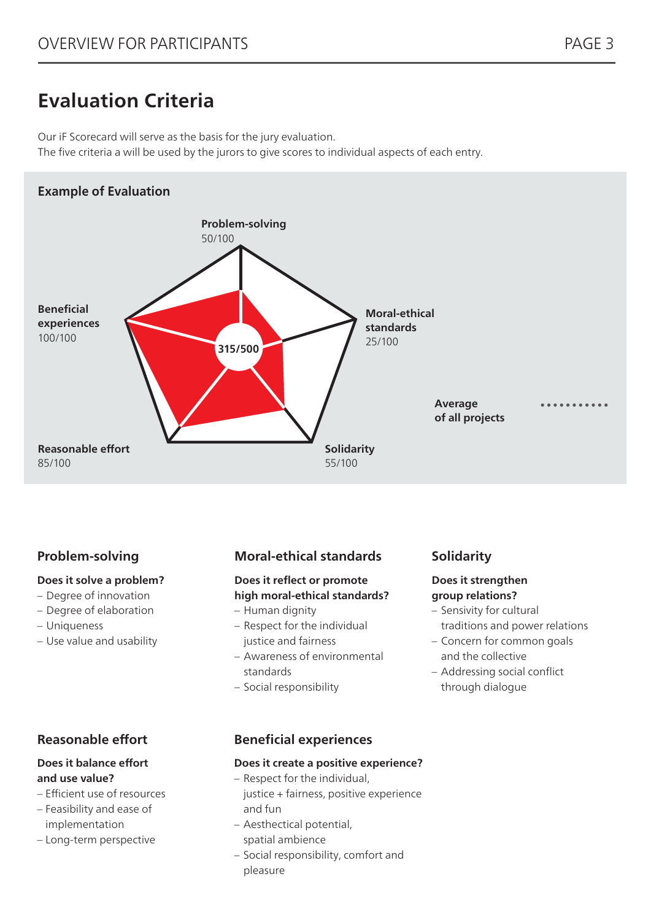## **Evaluation Criteria**

Our iF Scorecard will serve as the basis for the jury evaluation. The five criteria a will be used by the jurors to give scores to individual aspects of each entry.

### **Example of Evaluation**



### **Problem-solving**

#### **Does it solve a problem?**

- Degree of innovation
- Degree of elaboration
- Uniqueness
- Use value and usability

### **Reasonable effort**

#### **Does it balance effort and use value?**

- Efficient use of resources
- Feasibility and ease of implementation
- Long-term perspective

### **Moral-ethical standards**

#### **Does it reflect or promote high moral-ethical standards?**

- Human dignity
- Respect for the individual justice and fairness
- Awareness of environmental standards
- Social responsibility

### **Solidarity**

#### **Does it strengthen group relations?**

- Sensivity for cultural traditions and power relations
- Concern for common goals and the collective
- Addressing social conflict through dialogue

### **Beneficial experiences**

#### **Does it create a positive experience?**

- Respect for the individual, justice + fairness, positive experience and fun
- Aesthectical potential,
- spatial ambience
- Social responsibility, comfort and pleasure